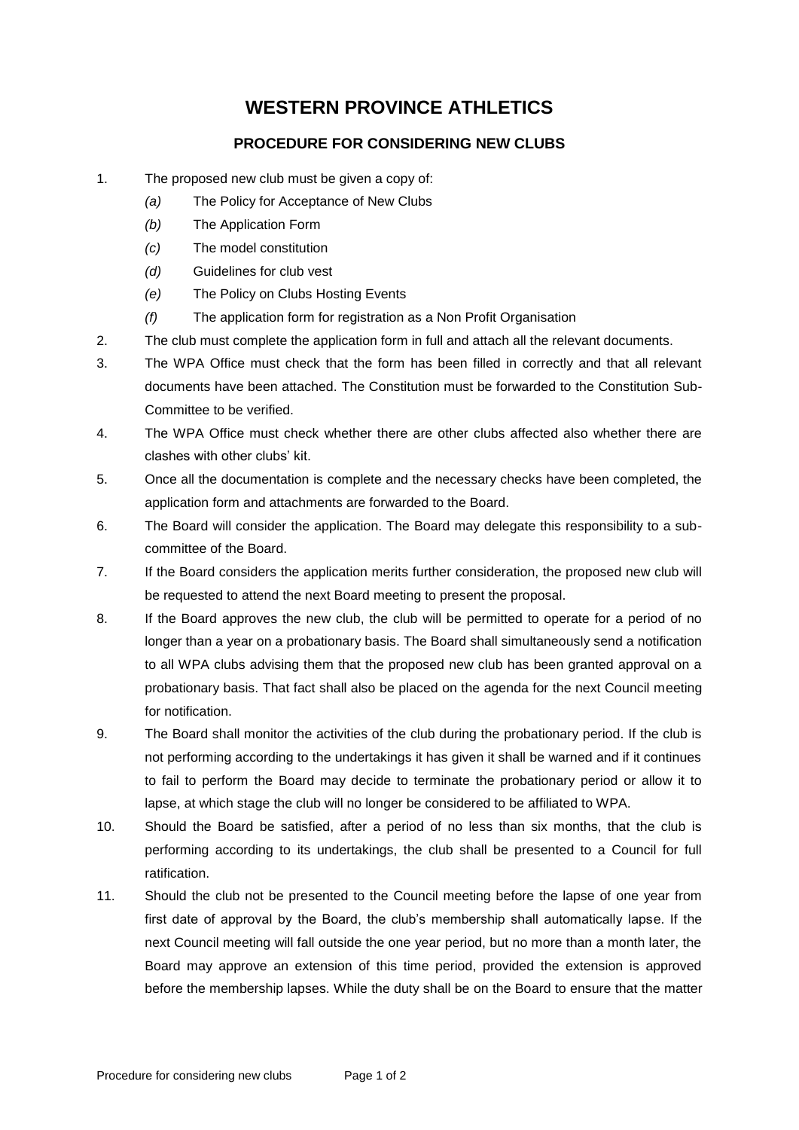## **WESTERN PROVINCE ATHLETICS**

## **PROCEDURE FOR CONSIDERING NEW CLUBS**

- 1. The proposed new club must be given a copy of:
	- *(a)* The Policy for Acceptance of New Clubs
	- *(b)* The Application Form
	- *(c)* The model constitution
	- *(d)* Guidelines for club vest
	- *(e)* The Policy on Clubs Hosting Events
	- *(f)* The application form for registration as a Non Profit Organisation
- 2. The club must complete the application form in full and attach all the relevant documents.
- 3. The WPA Office must check that the form has been filled in correctly and that all relevant documents have been attached. The Constitution must be forwarded to the Constitution Sub-Committee to be verified.
- 4. The WPA Office must check whether there are other clubs affected also whether there are clashes with other clubs' kit.
- 5. Once all the documentation is complete and the necessary checks have been completed, the application form and attachments are forwarded to the Board.
- 6. The Board will consider the application. The Board may delegate this responsibility to a subcommittee of the Board.
- 7. If the Board considers the application merits further consideration, the proposed new club will be requested to attend the next Board meeting to present the proposal.
- 8. If the Board approves the new club, the club will be permitted to operate for a period of no longer than a year on a probationary basis. The Board shall simultaneously send a notification to all WPA clubs advising them that the proposed new club has been granted approval on a probationary basis. That fact shall also be placed on the agenda for the next Council meeting for notification.
- 9. The Board shall monitor the activities of the club during the probationary period. If the club is not performing according to the undertakings it has given it shall be warned and if it continues to fail to perform the Board may decide to terminate the probationary period or allow it to lapse, at which stage the club will no longer be considered to be affiliated to WPA.
- 10. Should the Board be satisfied, after a period of no less than six months, that the club is performing according to its undertakings, the club shall be presented to a Council for full ratification.
- 11. Should the club not be presented to the Council meeting before the lapse of one year from first date of approval by the Board, the club's membership shall automatically lapse. If the next Council meeting will fall outside the one year period, but no more than a month later, the Board may approve an extension of this time period, provided the extension is approved before the membership lapses. While the duty shall be on the Board to ensure that the matter